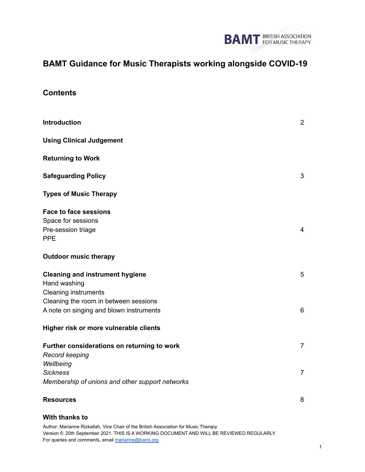

# **BAMT Guidance for Music Therapists working alongside COVID-19**

# **Contents**

| <b>Introduction</b>                                                                    | $\overline{2}$ |
|----------------------------------------------------------------------------------------|----------------|
| <b>Using Clinical Judgement</b>                                                        |                |
| <b>Returning to Work</b>                                                               |                |
| <b>Safeguarding Policy</b>                                                             | 3              |
| <b>Types of Music Therapy</b>                                                          |                |
| <b>Face to face sessions</b><br>Space for sessions<br>Pre-session triage<br><b>PPE</b> | $\overline{4}$ |
| <b>Outdoor music therapy</b>                                                           |                |
| <b>Cleaning and instrument hygiene</b><br>Hand washing<br><b>Cleaning instruments</b>  | 5              |
| Cleaning the room in between sessions<br>A note on singing and blown instruments       | 6              |
| Higher risk or more vulnerable clients                                                 |                |
| Further considerations on returning to work<br>Record keeping                          | $\overline{7}$ |
| Wellbeing<br><b>Sickness</b><br>Membership of unions and other support networks        | $\overline{7}$ |
| <b>Resources</b>                                                                       | 8              |

#### **With thanks to**

Author: Marianne Rizkallah, Vice Chair of the British Association for Music Therapy Version 5: 20th September 2021. THIS IS A WORKING DOCUMENT AND WILL BE REVIEWED REGULARLY. For queries and comments, email [marianne@bamt.org](mailto:marianne@bamt.org)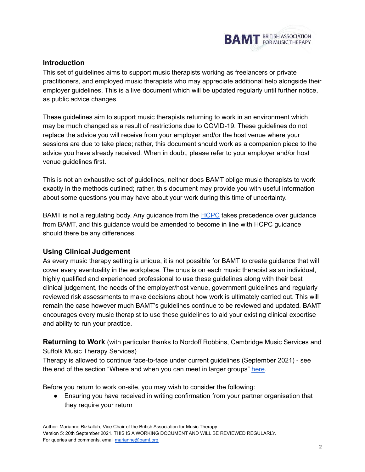

# **Introduction**

This set of guidelines aims to support music therapists working as freelancers or private practitioners, and employed music therapists who may appreciate additional help alongside their employer guidelines. This is a live document which will be updated regularly until further notice, as public advice changes.

These guidelines aim to support music therapists returning to work in an environment which may be much changed as a result of restrictions due to COVID-19. These guidelines do not replace the advice you will receive from your employer and/or the host venue where your sessions are due to take place; rather, this document should work as a companion piece to the advice you have already received. When in doubt, please refer to your employer and/or host venue guidelines first.

This is not an exhaustive set of guidelines, neither does BAMT oblige music therapists to work exactly in the methods outlined; rather, this document may provide you with useful information about some questions you may have about your work during this time of uncertainty.

BAMT is not a regulating body. Any guidance from the [HCPC](https://www.hcpc-uk.org/covid-19/) takes precedence over guidance from BAMT, and this guidance would be amended to become in line with HCPC guidance should there be any differences.

# **Using Clinical Judgement**

As every music therapy setting is unique, it is not possible for BAMT to create guidance that will cover every eventuality in the workplace. The onus is on each music therapist as an individual, highly qualified and experienced professional to use these guidelines along with their best clinical judgement, the needs of the employer/host venue, government guidelines and regularly reviewed risk assessments to make decisions about how work is ultimately carried out. This will remain the case however much BAMT's guidelines continue to be reviewed and updated. BAMT encourages every music therapist to use these guidelines to aid your existing clinical expertise and ability to run your practice.

**Returning to Work** (with particular thanks to Nordoff Robbins, Cambridge Music Services and Suffolk Music Therapy Services)

Therapy is allowed to continue face-to-face under current guidelines (September 2021) - see the end of the section "W[here](https://www.gov.uk/guidance/national-lockdown-stay-at-home?priority-taxon=774cee22-d896-44c1-a611-e3109cce8eae) and when you can meet in larger groups" here.

Before you return to work on-site, you may wish to consider the following:

• Ensuring you have received in writing confirmation from your partner organisation that they require your return

Author: Marianne Rizkallah, Vice Chair of the British Association for Music Therapy Version 5: 20th September 2021. THIS IS A WORKING DOCUMENT AND WILL BE REVIEWED REGULARLY. For queries and comments, email [marianne@bamt.org](mailto:marianne@bamt.org)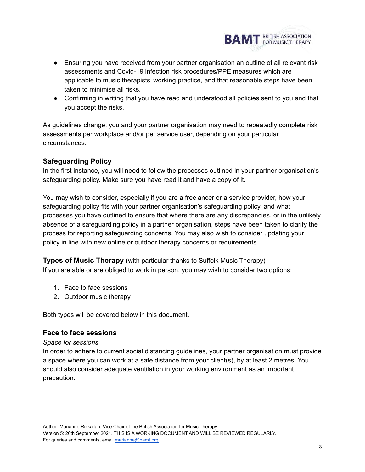

- Ensuring you have received from your partner organisation an outline of all relevant risk assessments and Covid-19 infection risk procedures/PPE measures which are applicable to music therapists' working practice, and that reasonable steps have been taken to minimise all risks.
- Confirming in writing that you have read and understood all policies sent to you and that you accept the risks.

As guidelines change, you and your partner organisation may need to repeatedly complete risk assessments per workplace and/or per service user, depending on your particular circumstances.

# **Safeguarding Policy**

In the first instance, you will need to follow the processes outlined in your partner organisation's safeguarding policy. Make sure you have read it and have a copy of it.

You may wish to consider, especially if you are a freelancer or a service provider, how your safeguarding policy fits with your partner organisation's safeguarding policy, and what processes you have outlined to ensure that where there are any discrepancies, or in the unlikely absence of a safeguarding policy in a partner organisation, steps have been taken to clarify the process for reporting safeguarding concerns. You may also wish to consider updating your policy in line with new online or outdoor therapy concerns or requirements.

**Types of Music Therapy** (with particular thanks to Suffolk Music Therapy) If you are able or are obliged to work in person, you may wish to consider two options:

- 1. Face to face sessions
- 2. Outdoor music therapy

Both types will be covered below in this document.

# **Face to face sessions**

#### *Space for sessions*

In order to adhere to current social distancing guidelines, your partner organisation must provide a space where you can work at a safe distance from your client(s), by at least 2 metres. You should also consider adequate ventilation in your working environment as an important precaution.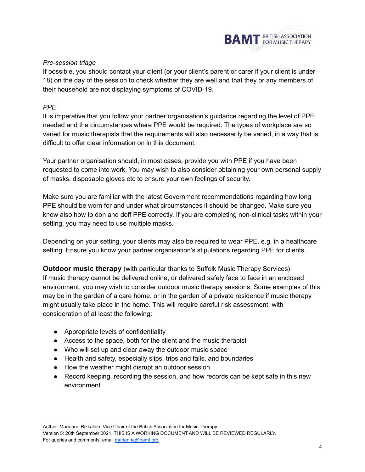

# *Pre-session triage*

If possible, you should contact your client (or your client's parent or carer if your client is under 18) on the day of the session to check whether they are well and that they or any members of their household are not displaying symptoms of COVID-19.

# *PPE*

It is imperative that you follow your partner organisation's guidance regarding the level of PPE needed and the circumstances where PPE would be required. The types of workplace are so varied for music therapists that the requirements will also necessarily be varied, in a way that is difficult to offer clear information on in this document.

Your partner organisation should, in most cases, provide you with PPE if you have been requested to come into work. You may wish to also consider obtaining your own personal supply of masks, disposable gloves etc to ensure your own feelings of security.

Make sure you are familiar with the latest Government recommendations regarding how long PPE should be worn for and under what circumstances it should be changed. Make sure you know also how to don and doff PPE correctly. If you are completing non-clinical tasks within your setting, you may need to use multiple masks.

Depending on your setting, your clients may also be required to wear PPE, e.g. in a healthcare setting. Ensure you know your partner organisation's stipulations regarding PPE for clients.

**Outdoor music therapy** (with particular thanks to Suffolk Music Therapy Services) If music therapy cannot be delivered online, or delivered safely face to face in an enclosed environment, you may wish to consider outdoor music therapy sessions. Some examples of this may be in the garden of a care home, or in the garden of a private residence if music therapy might usually take place in the home. This will require careful risk assessment, with consideration of at least the following:

- Appropriate levels of confidentiality
- Access to the space, both for the client and the music therapist
- Who will set up and clear away the outdoor music space
- Health and safety, especially slips, trips and falls, and boundaries
- How the weather might disrupt an outdoor session
- Record keeping, recording the session, and how records can be kept safe in this new environment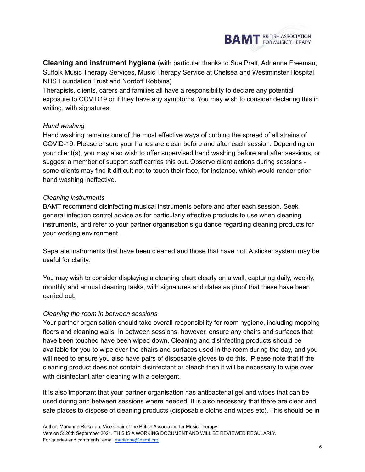

**Cleaning and instrument hygiene** (with particular thanks to Sue Pratt, Adrienne Freeman, Suffolk Music Therapy Services, Music Therapy Service at Chelsea and Westminster Hospital NHS Foundation Trust and Nordoff Robbins)

Therapists, clients, carers and families all have a responsibility to declare any potential exposure to COVID19 or if they have any symptoms. You may wish to consider declaring this in writing, with signatures.

## *Hand washing*

Hand washing remains one of the most effective ways of curbing the spread of all strains of COVID-19. Please ensure your hands are clean before and after each session. Depending on your client(s), you may also wish to offer supervised hand washing before and after sessions, or suggest a member of support staff carries this out. Observe client actions during sessions some clients may find it difficult not to touch their face, for instance, which would render prior hand washing ineffective.

## *Cleaning instruments*

BAMT recommend disinfecting musical instruments before and after each session. Seek general infection control advice as for particularly effective products to use when cleaning instruments, and refer to your partner organisation's guidance regarding cleaning products for your working environment.

Separate instruments that have been cleaned and those that have not. A sticker system may be useful for clarity.

You may wish to consider displaying a cleaning chart clearly on a wall, capturing daily, weekly, monthly and annual cleaning tasks, with signatures and dates as proof that these have been carried out.

#### *Cleaning the room in between sessions*

Your partner organisation should take overall responsibility for room hygiene, including mopping floors and cleaning walls. In between sessions, however, ensure any chairs and surfaces that have been touched have been wiped down. Cleaning and disinfecting products should be available for you to wipe over the chairs and surfaces used in the room during the day, and you will need to ensure you also have pairs of disposable gloves to do this. Please note that if the cleaning product does not contain disinfectant or bleach then it will be necessary to wipe over with disinfectant after cleaning with a detergent.

It is also important that your partner organisation has antibacterial gel and wipes that can be used during and between sessions where needed. It is also necessary that there are clear and safe places to dispose of cleaning products (disposable cloths and wipes etc). This should be in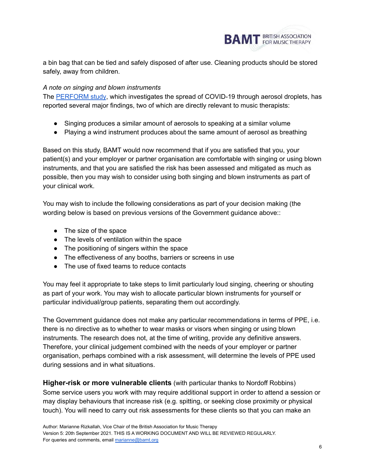

a bin bag that can be tied and safely disposed of after use. Cleaning products should be stored safely, away from children.

## *A note on singing and blown instruments*

The [PERFORM](https://www.bristol.ac.uk/science/research/research-impact/perform-study/) study, which investigates the spread of COVID-19 through aerosol droplets, has reported several major findings, two of which are directly relevant to music therapists:

- Singing produces a similar amount of aerosols to speaking at a similar volume
- Playing a wind instrument produces about the same amount of aerosol as breathing

Based on this study, BAMT would now recommend that if you are satisfied that you, your patient(s) and your employer or partner organisation are comfortable with singing or using blown instruments, and that you are satisfied the risk has been assessed and mitigated as much as possible, then you may wish to consider using both singing and blown instruments as part of your clinical work.

You may wish to include the following considerations as part of your decision making (the wording below is based on previous versions of the Government guidance above::

- The size of the space
- The levels of ventilation within the space
- The positioning of singers within the space
- The effectiveness of any booths, barriers or screens in use
- The use of fixed teams to reduce contacts

You may feel it appropriate to take steps to limit particularly loud singing, cheering or shouting as part of your work. You may wish to allocate particular blown instruments for yourself or particular individual/group patients, separating them out accordingly.

The Government guidance does not make any particular recommendations in terms of PPE, i.e. there is no directive as to whether to wear masks or visors when singing or using blown instruments. The research does not, at the time of writing, provide any definitive answers. Therefore, your clinical judgement combined with the needs of your employer or partner organisation, perhaps combined with a risk assessment, will determine the levels of PPE used during sessions and in what situations.

**Higher-risk or more vulnerable clients** (with particular thanks to Nordoff Robbins) Some service users you work with may require additional support in order to attend a session or may display behaviours that increase risk (e.g. spitting, or seeking close proximity or physical touch). You will need to carry out risk assessments for these clients so that you can make an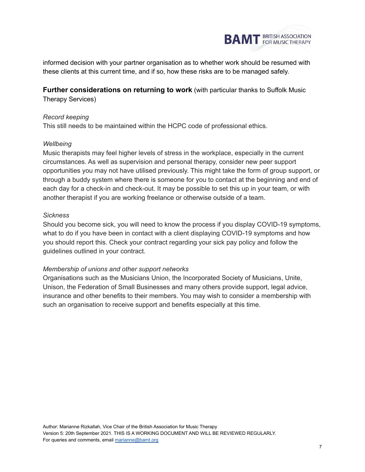

informed decision with your partner organisation as to whether work should be resumed with these clients at this current time, and if so, how these risks are to be managed safely.

**Further considerations on returning to work** (with particular thanks to Suffolk Music Therapy Services)

## *Record keeping*

This still needs to be maintained within the HCPC code of professional ethics.

#### *Wellbeing*

Music therapists may feel higher levels of stress in the workplace, especially in the current circumstances. As well as supervision and personal therapy, consider new peer support opportunities you may not have utilised previously. This might take the form of group support, or through a buddy system where there is someone for you to contact at the beginning and end of each day for a check-in and check-out. It may be possible to set this up in your team, or with another therapist if you are working freelance or otherwise outside of a team.

## *Sickness*

Should you become sick, you will need to know the process if you display COVID-19 symptoms, what to do if you have been in contact with a client displaying COVID-19 symptoms and how you should report this. Check your contract regarding your sick pay policy and follow the guidelines outlined in your contract.

#### *Membership of unions and other support networks*

Organisations such as the Musicians Union, the Incorporated Society of Musicians, Unite, Unison, the Federation of Small Businesses and many others provide support, legal advice, insurance and other benefits to their members. You may wish to consider a membership with such an organisation to receive support and benefits especially at this time.